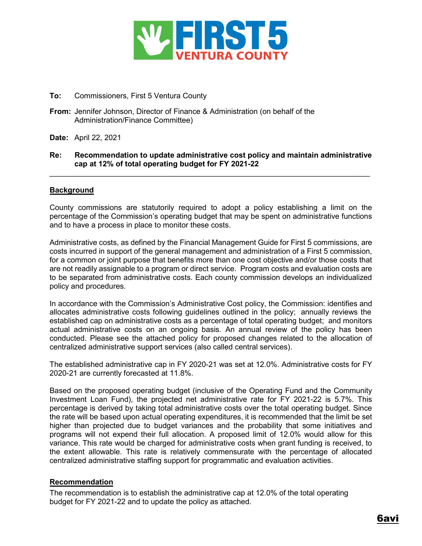

### **To:** Commissioners, First 5 Ventura County

- **From:** Jennifer Johnson, Director of Finance & Administration (on behalf of the Administration/Finance Committee)
- **Date:** April 22, 2021

#### **Re: Recommendation to update administrative cost policy and maintain administrative cap at 12% of total operating budget for FY 2021-22**

\_\_\_\_\_\_\_\_\_\_\_\_\_\_\_\_\_\_\_\_\_\_\_\_\_\_\_\_\_\_\_\_\_\_\_\_\_\_\_\_\_\_\_\_\_\_\_\_\_\_\_\_\_\_\_\_\_\_\_\_\_\_\_\_\_\_\_\_\_\_\_\_\_\_\_\_

### **Background**

County commissions are statutorily required to adopt a policy establishing a limit on the percentage of the Commission's operating budget that may be spent on administrative functions and to have a process in place to monitor these costs.

Administrative costs, as defined by the Financial Management Guide for First 5 commissions, are costs incurred in support of the general management and administration of a First 5 commission, for a common or joint purpose that benefits more than one cost objective and/or those costs that are not readily assignable to a program or direct service. Program costs and evaluation costs are to be separated from administrative costs. Each county commission develops an individualized policy and procedures.

In accordance with the Commission's Administrative Cost policy, the Commission: identifies and allocates administrative costs following guidelines outlined in the policy; annually reviews the established cap on administrative costs as a percentage of total operating budget; and monitors actual administrative costs on an ongoing basis. An annual review of the policy has been conducted. Please see the attached policy for proposed changes related to the allocation of centralized administrative support services (also called central services).

The established administrative cap in FY 2020-21 was set at 12.0%. Administrative costs for FY 2020-21 are currently forecasted at 11.8%.

Based on the proposed operating budget (inclusive of the Operating Fund and the Community Investment Loan Fund), the projected net administrative rate for FY 2021-22 is 5.7%. This percentage is derived by taking total administrative costs over the total operating budget. Since the rate will be based upon actual operating expenditures, it is recommended that the limit be set higher than projected due to budget variances and the probability that some initiatives and programs will not expend their full allocation. A proposed limit of 12.0% would allow for this variance. This rate would be charged for administrative costs when grant funding is received, to the extent allowable. This rate is relatively commensurate with the percentage of allocated centralized administrative staffing support for programmatic and evaluation activities.

### **Recommendation**

The recommendation is to establish the administrative cap at 12.0% of the total operating budget for FY 2021-22 and to update the policy as attached.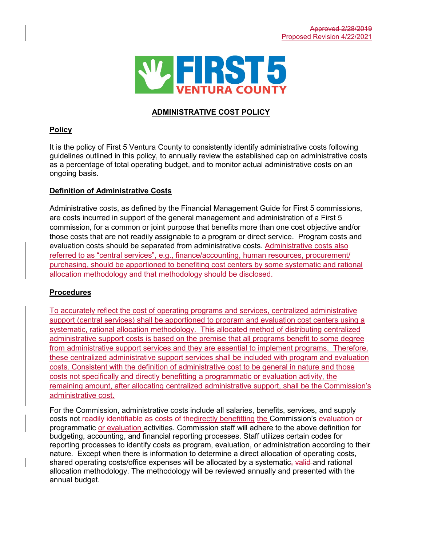

# **ADMINISTRATIVE COST POLICY**

## **Policy**

It is the policy of First 5 Ventura County to consistently identify administrative costs following guidelines outlined in this policy, to annually review the established cap on administrative costs as a percentage of total operating budget, and to monitor actual administrative costs on an ongoing basis.

## **Definition of Administrative Costs**

Administrative costs, as defined by the Financial Management Guide for First 5 commissions, are costs incurred in support of the general management and administration of a First 5 commission, for a common or joint purpose that benefits more than one cost objective and/or those costs that are not readily assignable to a program or direct service. Program costs and evaluation costs should be separated from administrative costs. Administrative costs also referred to as "central services", e.g., finance/accounting, human resources, procurement/ purchasing, should be apportioned to benefiting cost centers by some systematic and rational allocation methodology and that methodology should be disclosed.

# **Procedures**

To accurately reflect the cost of operating programs and services, centralized administrative support (central services) shall be apportioned to program and evaluation cost centers using a systematic, rational allocation methodology. This allocated method of distributing centralized administrative support costs is based on the premise that all programs benefit to some degree from administrative support services and they are essential to implement programs. Therefore, these centralized administrative support services shall be included with program and evaluation costs. Consistent with the definition of administrative cost to be general in nature and those costs not specifically and directly benefitting a programmatic or evaluation activity, the remaining amount, after allocating centralized administrative support, shall be the Commission's administrative cost.

For the Commission, administrative costs include all salaries, benefits, services, and supply costs not readily identifiable as costs of thedirectly benefitting the Commission's evaluation or programmatic or evaluation activities. Commission staff will adhere to the above definition for budgeting, accounting, and financial reporting processes. Staff utilizes certain codes for reporting processes to identify costs as program, evaluation, or administration according to their nature. Except when there is information to determine a direct allocation of operating costs, shared operating costs/office expenses will be allocated by a systematic, valid-and rational allocation methodology. The methodology will be reviewed annually and presented with the annual budget.